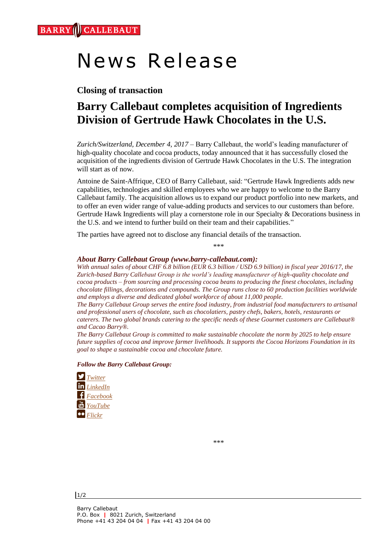# News Release

### **Closing of transaction**

## **Barry Callebaut completes acquisition of Ingredients Division of Gertrude Hawk Chocolates in the U.S.**

*Zurich/Switzerland, December 4, 2017 –* Barry Callebaut, the world's leading manufacturer of high-quality chocolate and cocoa products, today announced that it has successfully closed the acquisition of the ingredients division of Gertrude Hawk Chocolates in the U.S. The integration will start as of now.

Antoine de Saint-Affrique, CEO of Barry Callebaut, said: "Gertrude Hawk Ingredients adds new capabilities, technologies and skilled employees who we are happy to welcome to the Barry Callebaut family. The acquisition allows us to expand our product portfolio into new markets, and to offer an even wider range of value-adding products and services to our customers than before. Gertrude Hawk Ingredients will play a cornerstone role in our Specialty & Decorations business in the U.S. and we intend to further build on their team and their capabilities."

The parties have agreed not to disclose any financial details of the transaction.

\*\*\*

#### *About Barry Callebaut Group (www.barry-callebaut.com):*

*With annual sales of about CHF 6.8 billion (EUR 6.3 billion / USD 6.9 billion) in fiscal year 2016/17, the Zurich-based Barry Callebaut Group is the world's leading manufacturer of high-quality chocolate and cocoa products – from sourcing and processing cocoa beans to producing the finest chocolates, including chocolate fillings, decorations and compounds. The Group runs close to 60 production facilities worldwide and employs a diverse and dedicated global workforce of about 11,000 people.*

*The Barry Callebaut Group serves the entire food industry, from industrial food manufacturers to artisanal and professional users of chocolate, such as chocolatiers, pastry chefs, bakers, hotels, restaurants or caterers. The two global brands catering to the specific needs of these Gourmet customers are Callebaut® and Cacao Barry®.*

*The Barry Callebaut Group is committed to make sustainable chocolate the norm by 2025 to help ensure future supplies of cocoa and improve farmer livelihoods. It supports the Cocoa Horizons Foundation in its goal to shape a sustainable cocoa and chocolate future.*

#### *Follow the Barry Callebaut Group:*



\*\*\*

 $1/2$